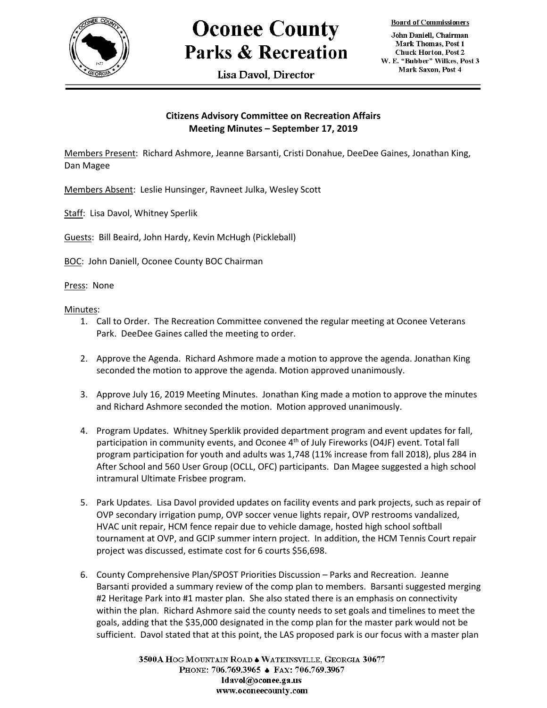

## **Oconee County Parks & Recreation**

Lisa Davol. Director

**Board of Commissioners** 

John Daniell, Chairman Mark Thomas, Post 1 **Chuck Horton, Post 2** W. E. "Bubber" Wilkes, Post 3 Mark Saxon, Post 4

## **Citizens Advisory Committee on Recreation Affairs Meeting Minutes – September 17, 2019**

Members Present: Richard Ashmore, Jeanne Barsanti, Cristi Donahue, DeeDee Gaines, Jonathan King, Dan Magee

Members Absent: Leslie Hunsinger, Ravneet Julka, Wesley Scott

Staff: Lisa Davol, Whitney Sperlik

Guests: Bill Beaird, John Hardy, Kevin McHugh (Pickleball)

BOC: John Daniell, Oconee County BOC Chairman

Press: None

Minutes:

- 1. Call to Order. The Recreation Committee convened the regular meeting at Oconee Veterans Park. DeeDee Gaines called the meeting to order.
- 2. Approve the Agenda. Richard Ashmore made a motion to approve the agenda. Jonathan King seconded the motion to approve the agenda. Motion approved unanimously.
- 3. Approve July 16, 2019 Meeting Minutes. Jonathan King made a motion to approve the minutes and Richard Ashmore seconded the motion. Motion approved unanimously.
- 4. Program Updates. Whitney Sperklik provided department program and event updates for fall, participation in community events, and Oconee 4<sup>th</sup> of July Fireworks (O4JF) event. Total fall program participation for youth and adults was 1,748 (11% increase from fall 2018), plus 284 in After School and 560 User Group (OCLL, OFC) participants. Dan Magee suggested a high school intramural Ultimate Frisbee program.
- 5. Park Updates. Lisa Davol provided updates on facility events and park projects, such as repair of OVP secondary irrigation pump, OVP soccer venue lights repair, OVP restrooms vandalized, HVAC unit repair, HCM fence repair due to vehicle damage, hosted high school softball tournament at OVP, and GCIP summer intern project. In addition, the HCM Tennis Court repair project was discussed, estimate cost for 6 courts \$56,698.
- 6. County Comprehensive Plan/SPOST Priorities Discussion Parks and Recreation. Jeanne Barsanti provided a summary review of the comp plan to members. Barsanti suggested merging #2 Heritage Park into #1 master plan. She also stated there is an emphasis on connectivity within the plan. Richard Ashmore said the county needs to set goals and timelines to meet the goals, adding that the \$35,000 designated in the comp plan for the master park would not be sufficient. Davol stated that at this point, the LAS proposed park is our focus with a master plan

3500A HOG MOUNTAIN ROAD . WATKINSVILLE, GEORGIA 30677 PHONE: 706.769.3965 ♦ FAX: 706.769.3967 ldavol@oconee.ga.us www.oconeecounty.com